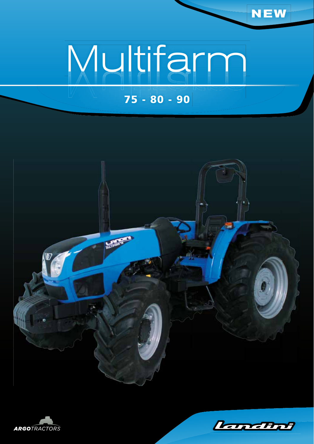